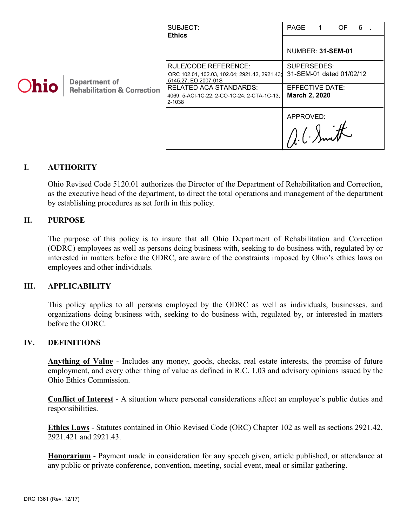|             | <b>Department of</b><br><b>Rehabilitation &amp; Correction</b> | SUBJECT:<br><b>Ethics</b>                                                                                                                                                                | PAGE 1 OF 6                                                                 |
|-------------|----------------------------------------------------------------|------------------------------------------------------------------------------------------------------------------------------------------------------------------------------------------|-----------------------------------------------------------------------------|
| <b>Ohio</b> |                                                                |                                                                                                                                                                                          | <b>NUMBER: 31-SEM-01</b>                                                    |
|             |                                                                | <b>RULE/CODE REFERENCE:</b><br>ORC 102.01, 102.03, 102.04; 2921.42, 2921.43;<br>5145.27: EO 2007-01S<br> RELATED ACA STANDARDS:<br>4069, 5-ACI-1C-22; 2-CO-1C-24; 2-CTA-1C-13;<br>2-1038 | SUPERSEDES:<br>31-SEM-01 dated 01/02/12<br>EFFECTIVE DATE:<br>March 2, 2020 |
|             |                                                                |                                                                                                                                                                                          | APPROVED:                                                                   |

## **I. AUTHORITY**

Ohio Revised Code 5120.01 authorizes the Director of the Department of Rehabilitation and Correction, as the executive head of the department, to direct the total operations and management of the department by establishing procedures as set forth in this policy.

#### **II. PURPOSE**

The purpose of this policy is to insure that all Ohio Department of Rehabilitation and Correction (ODRC) employees as well as persons doing business with, seeking to do business with, regulated by or interested in matters before the ODRC, are aware of the constraints imposed by Ohio's ethics laws on employees and other individuals.

#### **III. APPLICABILITY**

This policy applies to all persons employed by the ODRC as well as individuals, businesses, and organizations doing business with, seeking to do business with, regulated by, or interested in matters before the ODRC.

#### **IV. DEFINITIONS**

**Anything of Value** - Includes any money, goods, checks, real estate interests, the promise of future employment, and every other thing of value as defined in R.C. 1.03 and advisory opinions issued by the Ohio Ethics Commission.

**Conflict of Interest** - A situation where personal considerations affect an employee's public duties and responsibilities.

**Ethics Laws** - Statutes contained in Ohio Revised Code (ORC) Chapter 102 as well as sections 2921.42, 2921.421 and 2921.43.

**Honorarium** - Payment made in consideration for any speech given, article published, or attendance at any public or private conference, convention, meeting, social event, meal or similar gathering.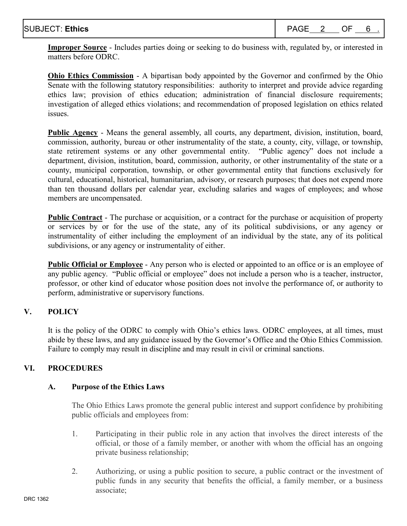**Improper Source** - Includes parties doing or seeking to do business with, regulated by, or interested in matters before ODRC.

**Ohio Ethics Commission** - A bipartisan body appointed by the Governor and confirmed by the Ohio Senate with the following statutory responsibilities: authority to interpret and provide advice regarding ethics law; provision of ethics education; administration of financial disclosure requirements; investigation of alleged ethics violations; and recommendation of proposed legislation on ethics related issues.

**Public Agency** - Means the general assembly, all courts, any department, division, institution, board, commission, authority, bureau or other instrumentality of the state, a county, city, village, or township, state retirement systems or any other governmental entity. "Public agency" does not include a department, division, institution, board, commission, authority, or other instrumentality of the state or a county, municipal corporation, township, or other governmental entity that functions exclusively for cultural, educational, historical, humanitarian, advisory, or research purposes; that does not expend more than ten thousand dollars per calendar year, excluding salaries and wages of employees; and whose members are uncompensated.

**Public Contract** - The purchase or acquisition, or a contract for the purchase or acquisition of property or services by or for the use of the state, any of its political subdivisions, or any agency or instrumentality of either including the employment of an individual by the state, any of its political subdivisions, or any agency or instrumentality of either.

**Public Official or Employee** - Any person who is elected or appointed to an office or is an employee of any public agency. "Public official or employee" does not include a person who is a teacher, instructor, professor, or other kind of educator whose position does not involve the performance of, or authority to perform, administrative or supervisory functions.

# **V. POLICY**

It is the policy of the ODRC to comply with Ohio's ethics laws. ODRC employees, at all times, must abide by these laws, and any guidance issued by the Governor's Office and the Ohio Ethics Commission. Failure to comply may result in discipline and may result in civil or criminal sanctions.

## **VI. PROCEDURES**

## **A. Purpose of the Ethics Laws**

The Ohio Ethics Laws promote the general public interest and support confidence by prohibiting public officials and employees from:

- 1. Participating in their public role in any action that involves the direct interests of the official, or those of a family member, or another with whom the official has an ongoing private business relationship;
- 2. Authorizing, or using a public position to secure, a public contract or the investment of public funds in any security that benefits the official, a family member, or a business associate;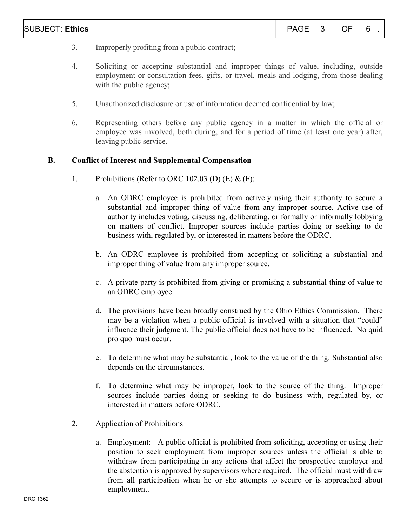- 3. Improperly profiting from a public contract;
- 4. Soliciting or accepting substantial and improper things of value, including, outside employment or consultation fees, gifts, or travel, meals and lodging, from those dealing with the public agency;
- 5. Unauthorized disclosure or use of information deemed confidential by law;
- 6. Representing others before any public agency in a matter in which the official or employee was involved, both during, and for a period of time (at least one year) after, leaving public service.

#### **B. Conflict of Interest and Supplemental Compensation**

- 1. Prohibitions (Refer to ORC 102.03 (D)  $(E)$  &  $(F)$ :
	- a. An ODRC employee is prohibited from actively using their authority to secure a substantial and improper thing of value from any improper source. Active use of authority includes voting, discussing, deliberating, or formally or informally lobbying on matters of conflict. Improper sources include parties doing or seeking to do business with, regulated by, or interested in matters before the ODRC.
	- b. An ODRC employee is prohibited from accepting or soliciting a substantial and improper thing of value from any improper source.
	- c. A private party is prohibited from giving or promising a substantial thing of value to an ODRC employee.
	- d. The provisions have been broadly construed by the Ohio Ethics Commission. There may be a violation when a public official is involved with a situation that "could" influence their judgment. The public official does not have to be influenced. No quid pro quo must occur.
	- e. To determine what may be substantial, look to the value of the thing. Substantial also depends on the circumstances.
	- f. To determine what may be improper, look to the source of the thing. Improper sources include parties doing or seeking to do business with, regulated by, or interested in matters before ODRC.
- 2. Application of Prohibitions
	- a. Employment: A public official is prohibited from soliciting, accepting or using their position to seek employment from improper sources unless the official is able to withdraw from participating in any actions that affect the prospective employer and the abstention is approved by supervisors where required. The official must withdraw from all participation when he or she attempts to secure or is approached about employment.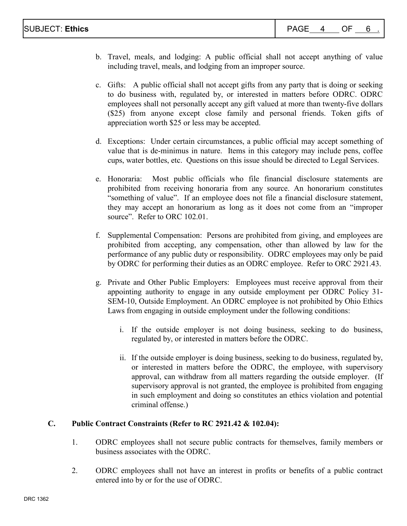- b. Travel, meals, and lodging: A public official shall not accept anything of value including travel, meals, and lodging from an improper source.
- c. Gifts: A public official shall not accept gifts from any party that is doing or seeking to do business with, regulated by, or interested in matters before ODRC. ODRC employees shall not personally accept any gift valued at more than twenty-five dollars (\$25) from anyone except close family and personal friends. Token gifts of appreciation worth \$25 or less may be accepted.
- d. Exceptions: Under certain circumstances, a public official may accept something of value that is de-minimus in nature. Items in this category may include pens, coffee cups, water bottles, etc. Questions on this issue should be directed to Legal Services.
- e. Honoraria: Most public officials who file financial disclosure statements are prohibited from receiving honoraria from any source. An honorarium constitutes "something of value". If an employee does not file a financial disclosure statement, they may accept an honorarium as long as it does not come from an "improper source". Refer to ORC 102.01.
- f. Supplemental Compensation: Persons are prohibited from giving, and employees are prohibited from accepting, any compensation, other than allowed by law for the performance of any public duty or responsibility. ODRC employees may only be paid by ODRC for performing their duties as an ODRC employee. Refer to ORC 2921.43.
- g. Private and Other Public Employers: Employees must receive approval from their appointing authority to engage in any outside employment per ODRC Policy 31- SEM-10, Outside Employment. An ODRC employee is not prohibited by Ohio Ethics Laws from engaging in outside employment under the following conditions:
	- i. If the outside employer is not doing business, seeking to do business, regulated by, or interested in matters before the ODRC.
	- ii. If the outside employer is doing business, seeking to do business, regulated by, or interested in matters before the ODRC, the employee, with supervisory approval, can withdraw from all matters regarding the outside employer. (If supervisory approval is not granted, the employee is prohibited from engaging in such employment and doing so constitutes an ethics violation and potential criminal offense.)

## **C. Public Contract Constraints (Refer to RC 2921.42 & 102.04):**

- 1. ODRC employees shall not secure public contracts for themselves, family members or business associates with the ODRC.
- 2. ODRC employees shall not have an interest in profits or benefits of a public contract entered into by or for the use of ODRC.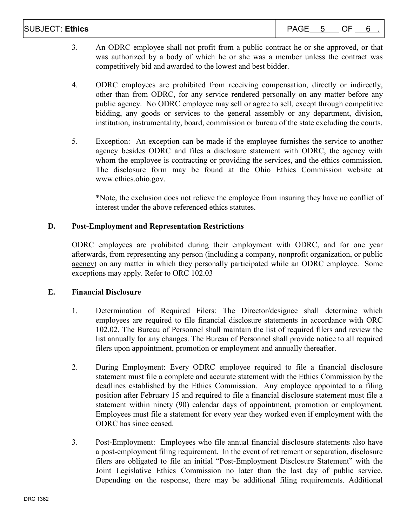| <b>SUBJECT: Ethics</b> | $\Lambda$ $\cap$ $\Gamma$<br>$ \Delta$ $ -$ | - | יו – |  |  |
|------------------------|---------------------------------------------|---|------|--|--|
|------------------------|---------------------------------------------|---|------|--|--|

- 3. An ODRC employee shall not profit from a public contract he or she approved, or that was authorized by a body of which he or she was a member unless the contract was competitively bid and awarded to the lowest and best bidder.
- 4. ODRC employees are prohibited from receiving compensation, directly or indirectly, other than from ODRC, for any service rendered personally on any matter before any public agency. No ODRC employee may sell or agree to sell, except through competitive bidding, any goods or services to the general assembly or any department, division, institution, instrumentality, board, commission or bureau of the state excluding the courts.
- 5. Exception: An exception can be made if the employee furnishes the service to another agency besides ODRC and files a disclosure statement with ODRC, the agency with whom the employee is contracting or providing the services, and the ethics commission. The disclosure form may be found at the Ohio Ethics Commission website at [www.ethics.ohio.gov.](http://www.ethics.ohio.gov/)

\*Note, the exclusion does not relieve the employee from insuring they have no conflict of interest under the above referenced ethics statutes.

## **D. Post-Employment and Representation Restrictions**

ODRC employees are prohibited during their employment with ODRC, and for one year afterwards, from representing any person (including a company, nonprofit organization, or public agency) on any matter in which they personally participated while an ODRC employee. Some exceptions may apply. Refer to ORC 102.03

## **E. Financial Disclosure**

- 1. Determination of Required Filers: The Director/designee shall determine which employees are required to file financial disclosure statements in accordance with ORC 102.02. The Bureau of Personnel shall maintain the list of required filers and review the list annually for any changes. The Bureau of Personnel shall provide notice to all required filers upon appointment, promotion or employment and annually thereafter.
- 2. During Employment: Every ODRC employee required to file a financial disclosure statement must file a complete and accurate statement with the Ethics Commission by the deadlines established by the Ethics Commission. Any employee appointed to a filing position after February 15 and required to file a financial disclosure statement must file a statement within ninety (90) calendar days of appointment, promotion or employment. Employees must file a statement for every year they worked even if employment with the ODRC has since ceased.
- 3. Post-Employment: Employees who file annual financial disclosure statements also have a post-employment filing requirement. In the event of retirement or separation, disclosure filers are obligated to file an initial "Post-Employment Disclosure Statement" with the Joint Legislative Ethics Commission no later than the last day of public service. Depending on the response, there may be additional filing requirements. Additional